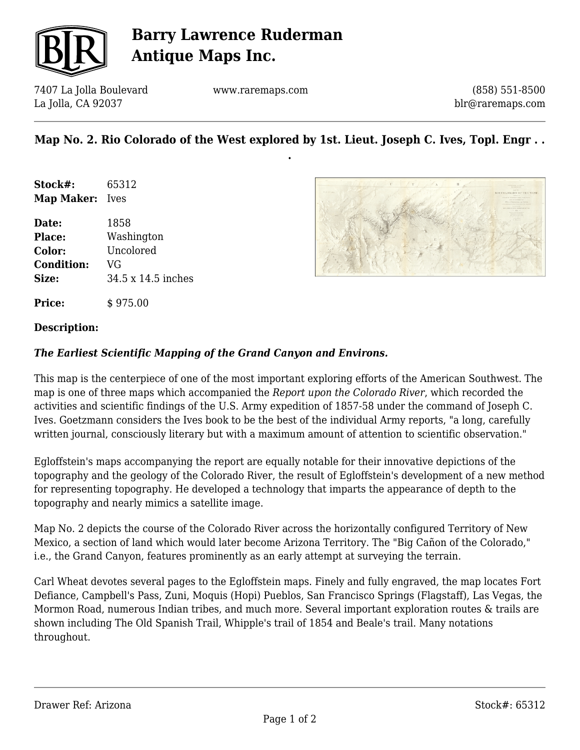

## **Barry Lawrence Ruderman Antique Maps Inc.**

7407 La Jolla Boulevard La Jolla, CA 92037

www.raremaps.com

(858) 551-8500 blr@raremaps.com

### **Map No. 2. Rio Colorado of the West explored by 1st. Lieut. Joseph C. Ives, Topl. Engr . . .**

**Stock#:** 65312 **Map Maker:** Ives

**Price:**  $\qquad$  \$ 975.00

**Date:** 1858 **Place:** Washington **Color:** Uncolored **Condition:** VG **Size:** 34.5 x 14.5 inches



#### **Description:**

#### *The Earliest Scientific Mapping of the Grand Canyon and Environs.*

This map is the centerpiece of one of the most important exploring efforts of the American Southwest. The map is one of three maps which accompanied the *Report upon the Colorado River*, which recorded the activities and scientific findings of the U.S. Army expedition of 1857-58 under the command of Joseph C. Ives. Goetzmann considers the Ives book to be the best of the individual Army reports, "a long, carefully written journal, consciously literary but with a maximum amount of attention to scientific observation."

Egloffstein's maps accompanying the report are equally notable for their innovative depictions of the topography and the geology of the Colorado River, the result of Egloffstein's development of a new method for representing topography. He developed a technology that imparts the appearance of depth to the topography and nearly mimics a satellite image.

Map No. 2 depicts the course of the Colorado River across the horizontally configured Territory of New Mexico, a section of land which would later become Arizona Territory. The "Big Cañon of the Colorado," i.e., the Grand Canyon, features prominently as an early attempt at surveying the terrain.

Carl Wheat devotes several pages to the Egloffstein maps. Finely and fully engraved, the map locates Fort Defiance, Campbell's Pass, Zuni, Moquis (Hopi) Pueblos, San Francisco Springs (Flagstaff), Las Vegas, the Mormon Road, numerous Indian tribes, and much more. Several important exploration routes & trails are shown including The Old Spanish Trail, Whipple's trail of 1854 and Beale's trail. Many notations throughout.